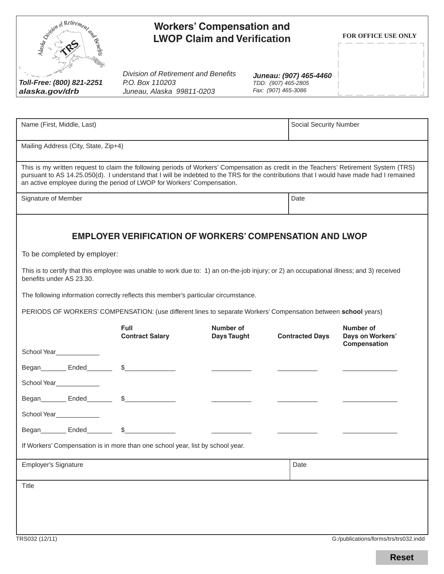| Children of Retirement<br><b>Workers' Compensation and</b><br><b>ASSIMILITY</b><br><b>LWOP Claim and Verification</b>                                                                                                                                                                                                                                        |                                                                                            |                                 |                                                                      | FOR OFFICE USE ONLY           |
|--------------------------------------------------------------------------------------------------------------------------------------------------------------------------------------------------------------------------------------------------------------------------------------------------------------------------------------------------------------|--------------------------------------------------------------------------------------------|---------------------------------|----------------------------------------------------------------------|-------------------------------|
| Toll-Free: (800) 821-2251<br>alaska.gov/drb                                                                                                                                                                                                                                                                                                                  | <b>Division of Retirement and Benefits</b><br>P.O. Box 110203<br>Juneau, Alaska 99811-0203 |                                 | Juneau: (907) 465-4460<br>TDD: (907) 465-2805<br>Fax: (907) 465-3086 |                               |
|                                                                                                                                                                                                                                                                                                                                                              |                                                                                            |                                 |                                                                      |                               |
| Name (First, Middle, Last)                                                                                                                                                                                                                                                                                                                                   |                                                                                            | <b>Social Security Number</b>   |                                                                      |                               |
| Mailing Address (City, State, Zip+4)                                                                                                                                                                                                                                                                                                                         |                                                                                            |                                 |                                                                      |                               |
| This is my written request to claim the following periods of Workers' Compensation as credit in the Teachers' Retirement System (TRS)<br>pursuant to AS 14.25.050(d). I understand that I will be indebted to the TRS for the contributions that I would have made had I remained<br>an active employee during the period of LWOP for Workers' Compensation. |                                                                                            |                                 |                                                                      |                               |
| Signature of Member                                                                                                                                                                                                                                                                                                                                          |                                                                                            |                                 | Date                                                                 |                               |
| The following information correctly reflects this member's particular circumstance.<br>PERIODS OF WORKERS' COMPENSATION: (use different lines to separate Workers' Compensation between school years)                                                                                                                                                        |                                                                                            |                                 |                                                                      |                               |
|                                                                                                                                                                                                                                                                                                                                                              | Full<br><b>Contract Salary</b>                                                             | Number of<br><b>Days Taught</b> | <b>Contracted Days</b>                                               | Number of<br>Days on Workers' |
| School Year____________                                                                                                                                                                                                                                                                                                                                      |                                                                                            |                                 |                                                                      | Compensation                  |
|                                                                                                                                                                                                                                                                                                                                                              |                                                                                            |                                 |                                                                      |                               |
| School Year_____________                                                                                                                                                                                                                                                                                                                                     |                                                                                            |                                 |                                                                      |                               |
|                                                                                                                                                                                                                                                                                                                                                              |                                                                                            |                                 |                                                                      |                               |
| School Year_____________<br>Began Ended \$                                                                                                                                                                                                                                                                                                                   |                                                                                            |                                 |                                                                      |                               |
| If Workers' Compensation is in more than one school year, list by school year.                                                                                                                                                                                                                                                                               |                                                                                            |                                 |                                                                      |                               |
| <b>Employer's Signature</b>                                                                                                                                                                                                                                                                                                                                  |                                                                                            |                                 | Date                                                                 |                               |
| Title                                                                                                                                                                                                                                                                                                                                                        |                                                                                            |                                 |                                                                      |                               |
|                                                                                                                                                                                                                                                                                                                                                              |                                                                                            |                                 |                                                                      |                               |